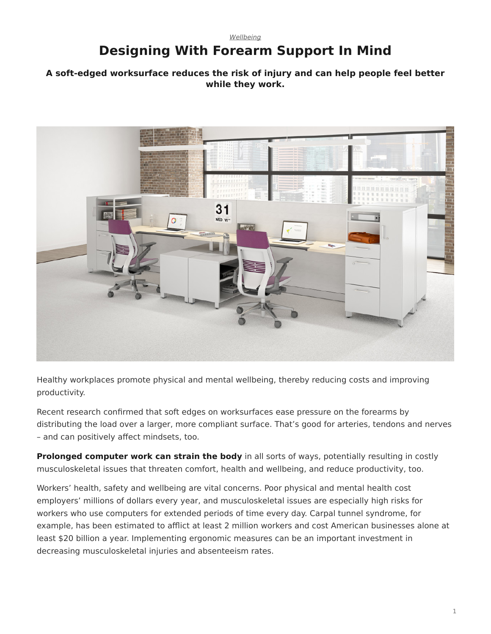### <span id="page-0-0"></span>*[Wellbeing](https://www.steelcase.com/research/topics/wellbeing/)* **Designing With Forearm Support In Mind**

#### **A soft-edged worksurface reduces the risk of injury and can help people feel better while they work.**



Healthy workplaces promote physical and mental wellbeing, thereby reducing costs and improving productivity.

Recent research confirmed that soft edges on worksurfaces ease pressure on the forearms by distributing the load over a larger, more compliant surface. That's good for arteries, tendons and nerves – and can positively affect mindsets, too.

**Prolonged computer work can strain the body** in all sorts of ways, potentially resulting in costly musculoskeletal issues that threaten comfort, health and wellbeing, and reduce productivity, too.

Workers' health, safety and wellbeing are vital concerns. Poor physical and mental health cost employers' millions of dollars every year, and musculoskeletal issues are especially high risks for workers who use computers for extended periods of time every day. Carpal tunnel syndrome, for example, has been estimated to afflict at least 2 million workers and cost American businesses alone at least \$20 billion a year. Implementing ergonomic measures can be an important investment in decreasing musculoskeletal injuries and absenteeism rates.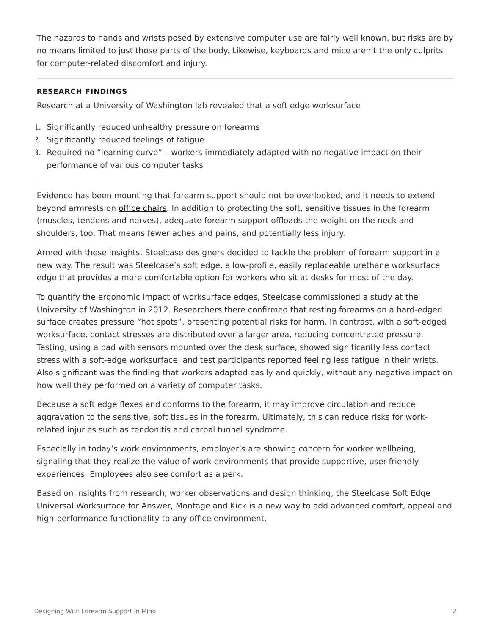The hazards to hands and wrists posed by extensive computer use are fairly well known, but risks are by no means limited to just those parts of the body. Likewise, keyboards and mice aren't the only culprits for computer-related discomfort and injury.

#### **RESEARCH FINDINGS**

Research at a University of Washington lab revealed that a soft edge worksurface

- 1. Significantly reduced unhealthy pressure on forearms
- 2. Significantly reduced feelings of fatigue
- 3. Required no "learning curve" workers immediately adapted with no negative impact on their performance of various computer tasks

Evidence has been mounting that forearm support should not be overlooked, and it needs to extend beyond armrests on [office chairs.](https://www.steelcase.com/products/office-chairs/) In addition to protecting the soft, sensitive tissues in the forearm (muscles, tendons and nerves), adequate forearm support offloads the weight on the neck and shoulders, too. That means fewer aches and pains, and potentially less injury.

Armed with these insights, Steelcase designers decided to tackle the problem of forearm support in a new way. The result was Steelcase's soft edge, a low-profile, easily replaceable urethane worksurface edge that provides a more comfortable option for workers who sit at desks for most of the day.

To quantify the ergonomic impact of worksurface edges, Steelcase commissioned a study at the University of Washington in 2012. Researchers there confirmed that resting forearms on a hard-edged surface creates pressure "hot spots", presenting potential risks for harm. In contrast, with a soft-edged worksurface, contact stresses are distributed over a larger area, reducing concentrated pressure. Testing, using a pad with sensors mounted over the desk surface, showed significantly less contact stress with a soft-edge worksurface, and test participants reported feeling less fatigue in their wrists. Also significant was the finding that workers adapted easily and quickly, without any negative impact on how well they performed on a variety of computer tasks.

Because a soft edge flexes and conforms to the forearm, it may improve circulation and reduce aggravation to the sensitive, soft tissues in the forearm. Ultimately, this can reduce risks for workrelated injuries such as tendonitis and carpal tunnel syndrome.

Especially in today's work environments, employer's are showing concern for worker wellbeing, signaling that they realize the value of work environments that provide supportive, user-friendly experiences. Employees also see comfort as a perk.

Based on insights from research, worker observations and design thinking, the Steelcase Soft Edge Universal Worksurface for Answer, Montage and Kick is a new way to add advanced comfort, appeal and high-performance functionality to any office environment.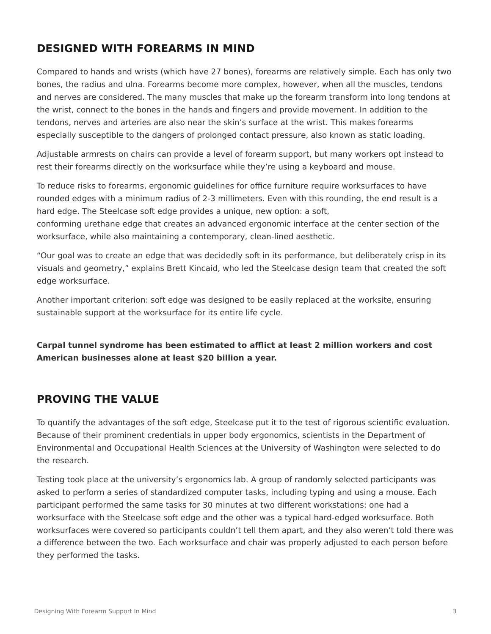# **DESIGNED WITH FOREARMS IN MIND**

Compared to hands and wrists (which have 27 bones), forearms are relatively simple. Each has only two bones, the radius and ulna. Forearms become more complex, however, when all the muscles, tendons and nerves are considered. The many muscles that make up the forearm transform into long tendons at the wrist, connect to the bones in the hands and fingers and provide movement. In addition to the tendons, nerves and arteries are also near the skin's surface at the wrist. This makes forearms especially susceptible to the dangers of prolonged contact pressure, also known as static loading.

Adjustable armrests on chairs can provide a level of forearm support, but many workers opt instead to rest their forearms directly on the worksurface while they're using a keyboard and mouse.

To reduce risks to forearms, ergonomic guidelines for office furniture require worksurfaces to have rounded edges with a minimum radius of 2-3 millimeters. Even with this rounding, the end result is a hard edge. The Steelcase soft edge provides a unique, new option: a soft,

conforming urethane edge that creates an advanced ergonomic interface at the center section of the worksurface, while also maintaining a contemporary, clean-lined aesthetic.

"Our goal was to create an edge that was decidedly soft in its performance, but deliberately crisp in its visuals and geometry," explains Brett Kincaid, who led the Steelcase design team that created the soft edge worksurface.

Another important criterion: soft edge was designed to be easily replaced at the worksite, ensuring sustainable support at the worksurface for its entire life cycle.

**Carpal tunnel syndrome has been estimated to afflict at least 2 million workers and cost American businesses alone at least \$20 billion a year.**

# **PROVING THE VALUE**

To quantify the advantages of the soft edge, Steelcase put it to the test of rigorous scientific evaluation. Because of their prominent credentials in upper body ergonomics, scientists in the Department of Environmental and Occupational Health Sciences at the University of Washington were selected to do the research.

Testing took place at the university's ergonomics lab. A group of randomly selected participants was asked to perform a series of standardized computer tasks, including typing and using a mouse. Each participant performed the same tasks for 30 minutes at two different workstations: one had a worksurface with the Steelcase soft edge and the other was a typical hard-edged worksurface. Both worksurfaces were covered so participants couldn't tell them apart, and they also weren't told there was a difference between the two. Each worksurface and chair was properly adjusted to each person before they performed the tasks.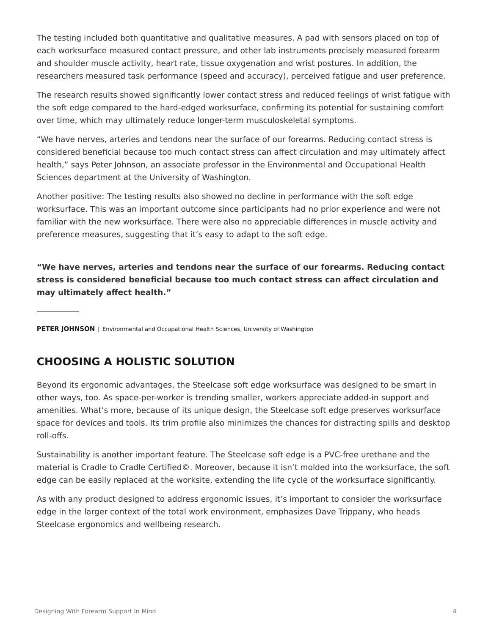The testing included both quantitative and qualitative measures. A pad with sensors placed on top of each worksurface measured contact pressure, and other lab instruments precisely measured forearm and shoulder muscle activity, heart rate, tissue oxygenation and wrist postures. In addition, the researchers measured task performance (speed and accuracy), perceived fatigue and user preference.

The research results showed significantly lower contact stress and reduced feelings of wrist fatigue with the soft edge compared to the hard-edged worksurface, confirming its potential for sustaining comfort over time, which may ultimately reduce longer-term musculoskeletal symptoms.

"We have nerves, arteries and tendons near the surface of our forearms. Reducing contact stress is considered beneficial because too much contact stress can affect circulation and may ultimately affect health," says Peter Johnson, an associate professor in the Environmental and Occupational Health Sciences department at the University of Washington.

Another positive: The testing results also showed no decline in performance with the soft edge worksurface. This was an important outcome since participants had no prior experience and were not familiar with the new worksurface. There were also no appreciable differences in muscle activity and preference measures, suggesting that it's easy to adapt to the soft edge.

**"We have nerves, arteries and tendons near the surface of our forearms. Reducing contact stress is considered beneficial because too much contact stress can affect circulation and may ultimately affect health."**

**PETER JOHNSON** | Environmental and Occupational Health Sciences, University of Washington

# **CHOOSING A HOLISTIC SOLUTION**

Beyond its ergonomic advantages, the Steelcase soft edge worksurface was designed to be smart in other ways, too. As space-per-worker is trending smaller, workers appreciate added-in support and amenities. What's more, because of its unique design, the Steelcase soft edge preserves worksurface space for devices and tools. Its trim profile also minimizes the chances for distracting spills and desktop roll-offs.

Sustainability is another important feature. The Steelcase soft edge is a PVC-free urethane and the material is Cradle to Cradle Certified©. Moreover, because it isn't molded into the worksurface, the soft edge can be easily replaced at the worksite, extending the life cycle of the worksurface significantly.

As with any product designed to address ergonomic issues, it's important to consider the worksurface edge in the larger context of the total work environment, emphasizes Dave Trippany, who heads Steelcase ergonomics and wellbeing research.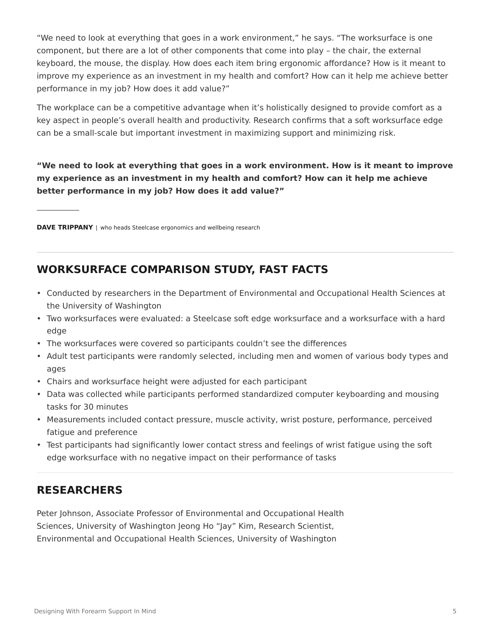"We need to look at everything that goes in a work environment," he says. "The worksurface is one component, but there are a lot of other components that come into play – the chair, the external keyboard, the mouse, the display. How does each item bring ergonomic affordance? How is it meant to improve my experience as an investment in my health and comfort? How can it help me achieve better performance in my job? How does it add value?"

The workplace can be a competitive advantage when it's holistically designed to provide comfort as a key aspect in people's overall health and productivity. Research confirms that a soft worksurface edge can be a small-scale but important investment in maximizing support and minimizing risk.

**"We need to look at everything that goes in a work environment. How is it meant to improve my experience as an investment in my health and comfort? How can it help me achieve better performance in my job? How does it add value?"**

**DAVE TRIPPANY** | who heads Steelcase ergonomics and wellbeing research

# **WORKSURFACE COMPARISON STUDY, FAST FACTS**

- Conducted by researchers in the Department of Environmental and Occupational Health Sciences at the University of Washington
- Two worksurfaces were evaluated: a Steelcase soft edge worksurface and a worksurface with a hard edge
- The worksurfaces were covered so participants couldn't see the differences
- Adult test participants were randomly selected, including men and women of various body types and ages
- Chairs and worksurface height were adjusted for each participant
- Data was collected while participants performed standardized computer keyboarding and mousing tasks for 30 minutes
- Measurements included contact pressure, muscle activity, wrist posture, performance, perceived fatigue and preference
- Test participants had significantly lower contact stress and feelings of wrist fatigue using the soft edge worksurface with no negative impact on their performance of tasks

# **RESEARCHERS**

Peter Johnson, Associate Professor of Environmental and Occupational Health Sciences, University of Washington Jeong Ho "Jay" Kim, Research Scientist, Environmental and Occupational Health Sciences, University of Washington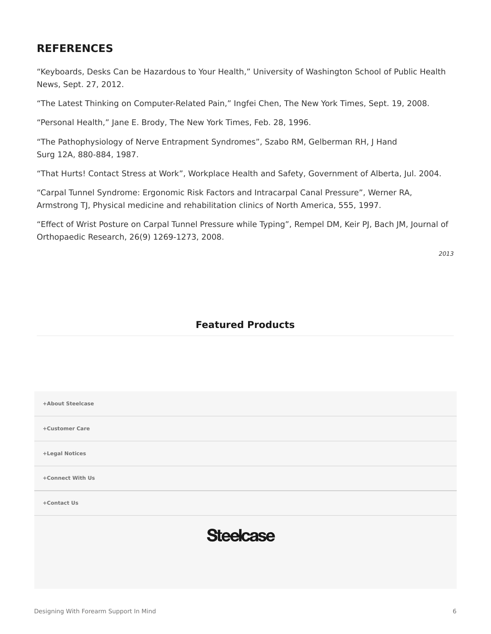# **REFERENCES**

"Keyboards, Desks Can be Hazardous to Your Health," University of Washington School of Public Health News, Sept. 27, 2012.

"The Latest Thinking on Computer-Related Pain," Ingfei Chen, The New York Times, Sept. 19, 2008.

"Personal Health," Jane E. Brody, The New York Times, Feb. 28, 1996.

"The Pathophysiology of Nerve Entrapment Syndromes", Szabo RM, Gelberman RH, J Hand Surg 12A, 880-884, 1987.

"That Hurts! Contact Stress at Work", Workplace Health and Safety, Government of Alberta, Jul. 2004.

"Carpal Tunnel Syndrome: Ergonomic Risk Factors and Intracarpal Canal Pressure", Werner RA, Armstrong TJ, Physical medicine and rehabilitation clinics of North America, 555, 1997.

"Effect of Wrist Posture on Carpal Tunnel Pressure while Typing", Rempel DM, Keir PJ, Bach JM, Journal of Orthopaedic Research, 26(9) 1269-1273, 2008.

*2013*

### **Featured Products**

| +About Steelcase |
|------------------|
| +Customer Care   |
| +Legal Notices   |
| +Connect With Us |
| +Contact Us      |
| <b>Steelcase</b> |